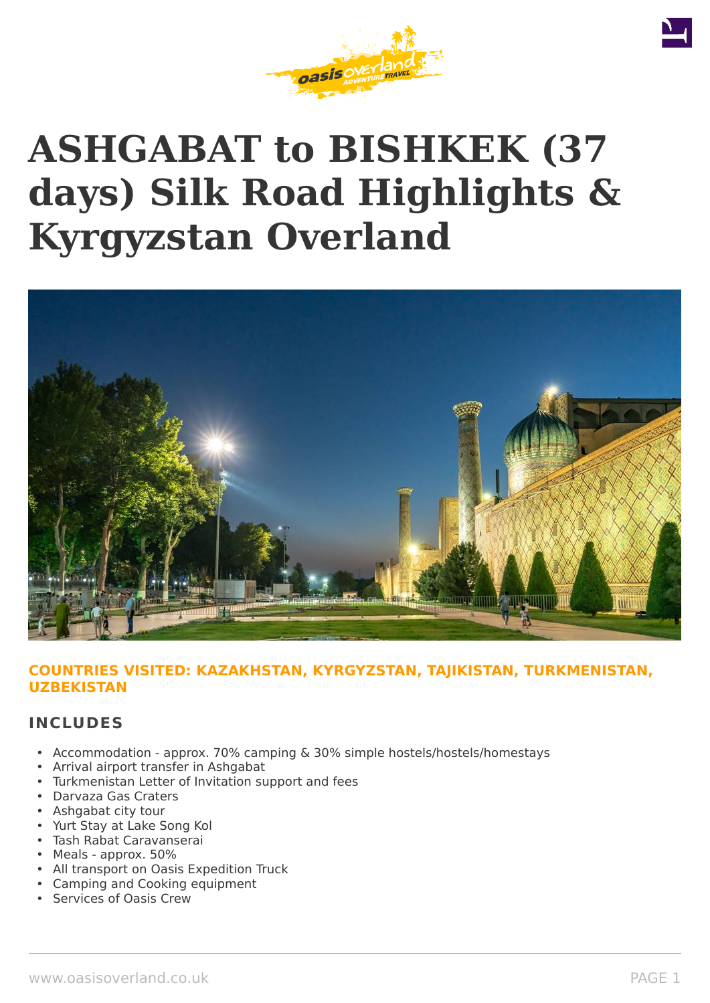

# **ASHGABAT to BISHKEK (37 days) Silk Road Highlights & Kyrgyzstan Overland**



### **COUNTRIES VISITED: KAZAKHSTAN, KYRGYZSTAN, TAJIKISTAN, TURKMENISTAN, UZBEKISTAN**

### **INCLUDES**

- Accommodation approx. 70% camping & 30% simple hostels/hostels/homestays
- Arrival airport transfer in Ashgabat
- Turkmenistan Letter of Invitation support and fees
- Darvaza Gas Craters
- Ashgabat city tour
- Yurt Stay at Lake Song Kol
- Tash Rabat Caravanserai
- Meals approx. 50%
- All transport on Oasis Expedition Truck
- Camping and Cooking equipment
- Services of Oasis Crew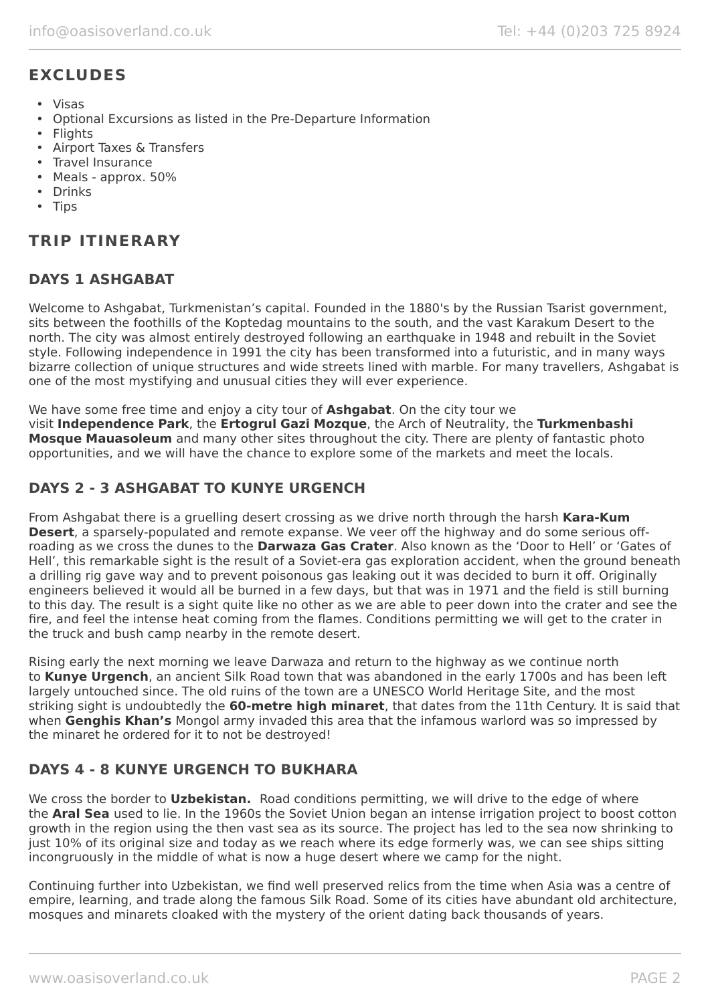# **EXCLUDES**

- Visas
- Optional Excursions as listed in the Pre-Departure Information
- Flights
- Airport Taxes & Transfers
- Travel Insurance
- Meals approx. 50%
- Drinks
- Tips

## **TRIP ITINERARY**

### **DAYS 1 ASHGABAT**

Welcome to Ashgabat, Turkmenistan's capital. Founded in the 1880's by the Russian Tsarist government, sits between the foothills of the Koptedag mountains to the south, and the vast Karakum Desert to the north. The city was almost entirely destroyed following an earthquake in 1948 and rebuilt in the Soviet style. Following independence in 1991 the city has been transformed into a futuristic, and in many ways bizarre collection of unique structures and wide streets lined with marble. For many travellers, Ashgabat is one of the most mystifying and unusual cities they will ever experience.

We have some free time and enjoy a city tour of **Ashgabat**. On the city tour we visit **Independence Park**, the **Ertogrul Gazi Mozque**, the Arch of Neutrality, the **Turkmenbashi Mosque Mauasoleum** and many other sites throughout the city. There are plenty of fantastic photo opportunities, and we will have the chance to explore some of the markets and meet the locals.

### **DAYS 2 - 3 ASHGABAT TO KUNYE URGENCH**

From Ashgabat there is a gruelling desert crossing as we drive north through the harsh **Kara-Kum Desert**, a sparsely-populated and remote expanse. We veer off the highway and do some serious offroading as we cross the dunes to the **Darwaza Gas Crater**. Also known as the 'Door to Hell' or 'Gates of Hell', this remarkable sight is the result of a Soviet-era gas exploration accident, when the ground beneath a drilling rig gave way and to prevent poisonous gas leaking out it was decided to burn it off. Originally engineers believed it would all be burned in a few days, but that was in 1971 and the field is still burning to this day. The result is a sight quite like no other as we are able to peer down into the crater and see the fire, and feel the intense heat coming from the flames. Conditions permitting we will get to the crater in the truck and bush camp nearby in the remote desert.

Rising early the next morning we leave Darwaza and return to the highway as we continue north to **Kunye Urgench**, an ancient Silk Road town that was abandoned in the early 1700s and has been left largely untouched since. The old ruins of the town are a UNESCO World Heritage Site, and the most striking sight is undoubtedly the **60-metre high minaret**, that dates from the 11th Century. It is said that when **Genghis Khan's** Mongol army invaded this area that the infamous warlord was so impressed by the minaret he ordered for it to not be destroyed!

### **DAYS 4 - 8 KUNYE URGENCH TO BUKHARA**

We cross the border to **Uzbekistan.** Road conditions permitting, we will drive to the edge of where the **Aral Sea** used to lie. In the 1960s the Soviet Union began an intense irrigation project to boost cotton growth in the region using the then vast sea as its source. The project has led to the sea now shrinking to just 10% of its original size and today as we reach where its edge formerly was, we can see ships sitting incongruously in the middle of what is now a huge desert where we camp for the night.

Continuing further into Uzbekistan, we find well preserved relics from the time when Asia was a centre of empire, learning, and trade along the famous Silk Road. Some of its cities have abundant old architecture, mosques and minarets cloaked with the mystery of the orient dating back thousands of years.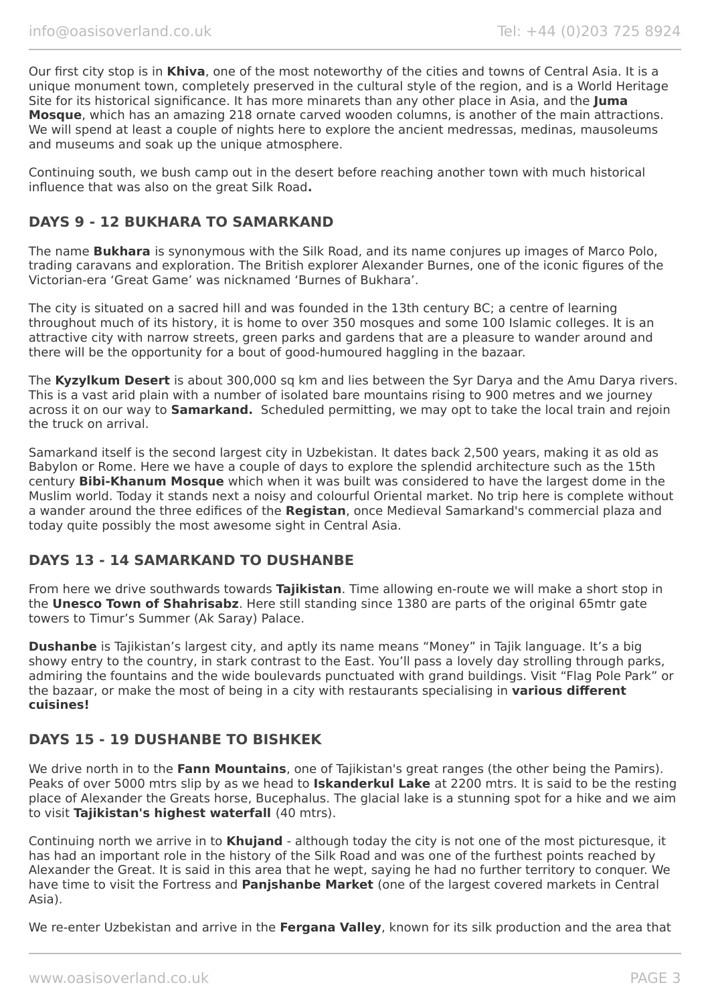Our first city stop is in **Khiva**, one of the most noteworthy of the cities and towns of Central Asia. It is a unique monument town, completely preserved in the cultural style of the region, and is a World Heritage Site for its historical significance. It has more minarets than any other place in Asia, and the **Juma Mosque**, which has an amazing 218 ornate carved wooden columns, is another of the main attractions. We will spend at least a couple of nights here to explore the ancient medressas, medinas, mausoleums and museums and soak up the unique atmosphere.

Continuing south, we bush camp out in the desert before reaching another town with much historical influence that was also on the great Silk Road**.**

### **DAYS 9 - 12 BUKHARA TO SAMARKAND**

The name **Bukhara** is synonymous with the Silk Road, and its name conjures up images of Marco Polo, trading caravans and exploration. The British explorer Alexander Burnes, one of the iconic figures of the Victorian-era 'Great Game' was nicknamed 'Burnes of Bukhara'.

The city is situated on a sacred hill and was founded in the 13th century BC; a centre of learning throughout much of its history, it is home to over 350 mosques and some 100 Islamic colleges. It is an attractive city with narrow streets, green parks and gardens that are a pleasure to wander around and there will be the opportunity for a bout of good-humoured haggling in the bazaar.

The **Kyzylkum Desert** is about 300,000 sq km and lies between the Syr Darya and the Amu Darya rivers. This is a vast arid plain with a number of isolated bare mountains rising to 900 metres and we journey across it on our way to **Samarkand.** Scheduled permitting, we may opt to take the local train and rejoin the truck on arrival.

Samarkand itself is the second largest city in Uzbekistan. It dates back 2,500 years, making it as old as Babylon or Rome. Here we have a couple of days to explore the splendid architecture such as the 15th century **Bibi-Khanum Mosque** which when it was built was considered to have the largest dome in the Muslim world. Today it stands next a noisy and colourful Oriental market. No trip here is complete without a wander around the three edifices of the **Registan**, once Medieval Samarkand's commercial plaza and today quite possibly the most awesome sight in Central Asia.

### **DAYS 13 - 14 SAMARKAND TO DUSHANBE**

From here we drive southwards towards **Tajikistan**. Time allowing en-route we will make a short stop in the **Unesco Town of Shahrisabz**. Here still standing since 1380 are parts of the original 65mtr gate towers to Timur's Summer (Ak Saray) Palace.

**Dushanbe** is Tajikistan's largest city, and aptly its name means "Money" in Tajik language. It's a big showy entry to the country, in stark contrast to the East. You'll pass a lovely day strolling through parks, admiring the fountains and the wide boulevards punctuated with grand buildings. Visit "Flag Pole Park" or the bazaar, or make the most of being in a city with restaurants specialising in **various different cuisines!**

### **DAYS 15 - 19 DUSHANBE TO BISHKEK**

We drive north in to the **Fann Mountains**, one of Tajikistan's great ranges (the other being the Pamirs). Peaks of over 5000 mtrs slip by as we head to **Iskanderkul Lake** at 2200 mtrs. It is said to be the resting place of Alexander the Greats horse, Bucephalus. The glacial lake is a stunning spot for a hike and we aim to visit **Tajikistan's highest waterfall** (40 mtrs).

Continuing north we arrive in to **Khujand** - although today the city is not one of the most picturesque, it has had an important role in the history of the Silk Road and was one of the furthest points reached by Alexander the Great. It is said in this area that he wept, saying he had no further territory to conquer. We have time to visit the Fortress and **Panjshanbe Market** (one of the largest covered markets in Central Asia).

We re-enter Uzbekistan and arrive in the **Fergana Valley**, known for its silk production and the area that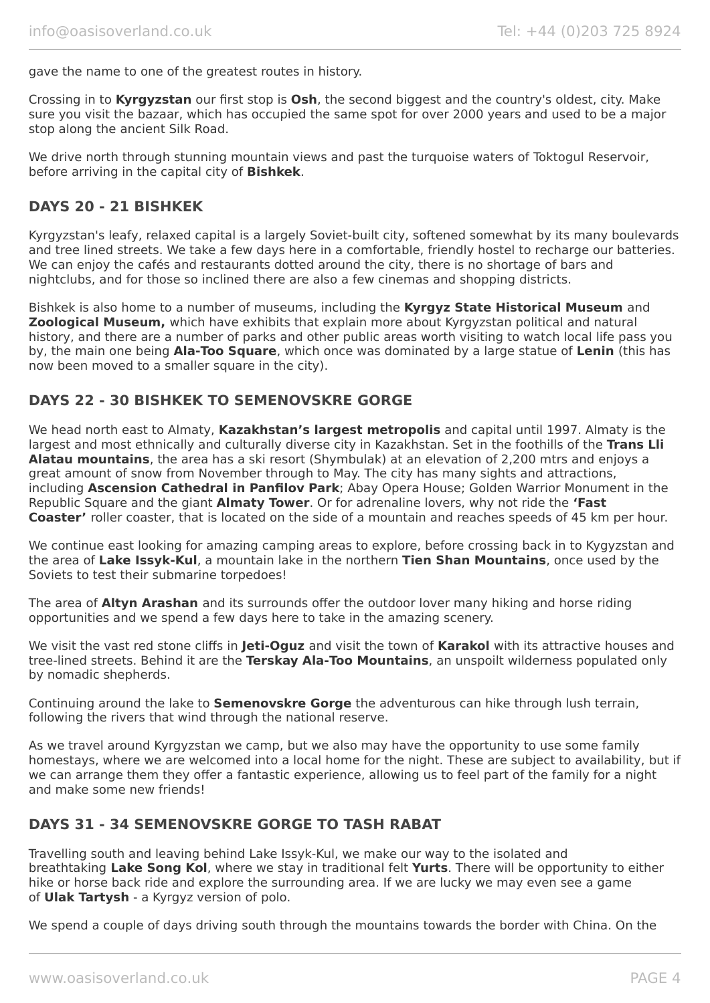gave the name to one of the greatest routes in history.

Crossing in to **Kyrgyzstan** our first stop is **Osh**, the second biggest and the country's oldest, city. Make sure you visit the bazaar, which has occupied the same spot for over 2000 years and used to be a major stop along the ancient Silk Road.

We drive north through stunning mountain views and past the turquoise waters of Toktogul Reservoir, before arriving in the capital city of **Bishkek**.

### **DAYS 20 - 21 BISHKEK**

Kyrgyzstan's leafy, relaxed capital is a largely Soviet-built city, softened somewhat by its many boulevards and tree lined streets. We take a few days here in a comfortable, friendly hostel to recharge our batteries. We can enjoy the cafés and restaurants dotted around the city, there is no shortage of bars and nightclubs, and for those so inclined there are also a few cinemas and shopping districts.

Bishkek is also home to a number of museums, including the **Kyrgyz State Historical Museum** and **Zoological Museum,** which have exhibits that explain more about Kyrgyzstan political and natural history, and there are a number of parks and other public areas worth visiting to watch local life pass you by, the main one being **Ala-Too Square**, which once was dominated by a large statue of **Lenin** (this has now been moved to a smaller square in the city).

### **DAYS 22 - 30 BISHKEK TO SEMENOVSKRE GORGE**

We head north east to Almaty, **Kazakhstan's largest metropolis** and capital until 1997. Almaty is the largest and most ethnically and culturally diverse city in Kazakhstan. Set in the foothills of the **Trans Lli Alatau mountains**, the area has a ski resort (Shymbulak) at an elevation of 2,200 mtrs and enjoys a great amount of snow from November through to May. The city has many sights and attractions, including **Ascension Cathedral in Panfilov Park**; Abay Opera House; Golden Warrior Monument in the Republic Square and the giant **Almaty Tower**. Or for adrenaline lovers, why not ride the **'Fast Coaster'** roller coaster, that is located on the side of a mountain and reaches speeds of 45 km per hour.

We continue east looking for amazing camping areas to explore, before crossing back in to Kygyzstan and the area of **Lake Issyk-Kul**, a mountain lake in the northern **Tien Shan Mountains**, once used by the Soviets to test their submarine torpedoes!

The area of **Altyn Arashan** and its surrounds offer the outdoor lover many hiking and horse riding opportunities and we spend a few days here to take in the amazing scenery.

We visit the vast red stone cliffs in **Jeti-Oguz** and visit the town of **Karakol** with its attractive houses and tree-lined streets. Behind it are the **Terskay Ala-Too Mountains**, an unspoilt wilderness populated only by nomadic shepherds.

Continuing around the lake to **Semenovskre Gorge** the adventurous can hike through lush terrain, following the rivers that wind through the national reserve.

As we travel around Kyrgyzstan we camp, but we also may have the opportunity to use some family homestays, where we are welcomed into a local home for the night. These are subject to availability, but if we can arrange them they offer a fantastic experience, allowing us to feel part of the family for a night and make some new friends!

### **DAYS 31 - 34 SEMENOVSKRE GORGE TO TASH RABAT**

Travelling south and leaving behind Lake Issyk-Kul, we make our way to the isolated and breathtaking **Lake Song Kol**, where we stay in traditional felt **Yurts**. There will be opportunity to either hike or horse back ride and explore the surrounding area. If we are lucky we may even see a game of **Ulak Tartysh** - a Kyrgyz version of polo.

We spend a couple of days driving south through the mountains towards the border with China. On the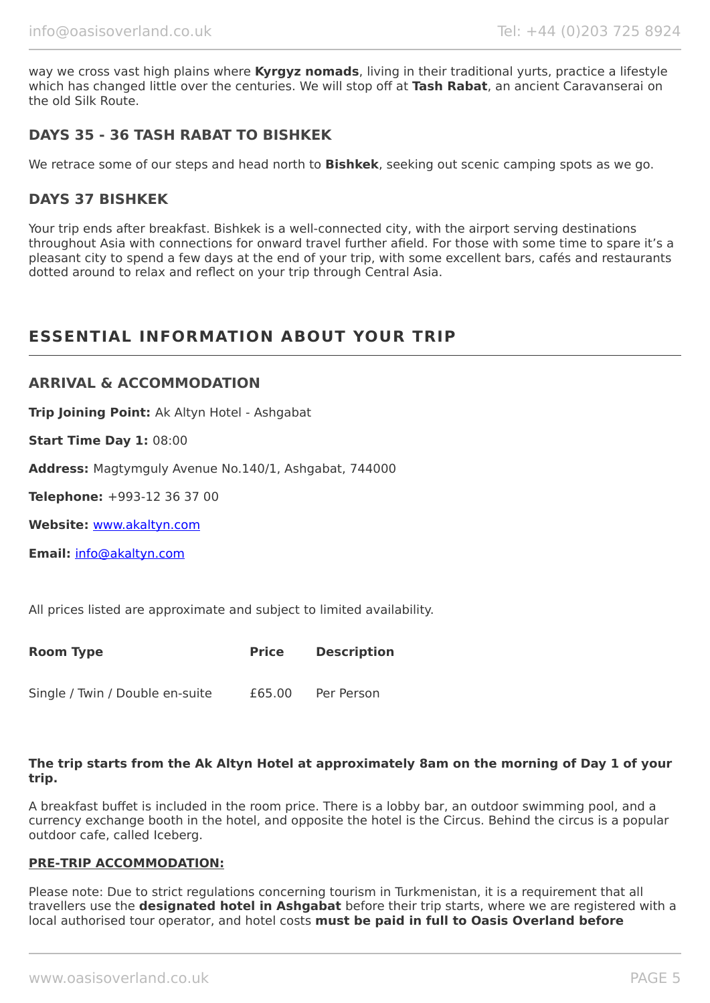way we cross vast high plains where **Kyrgyz nomads**, living in their traditional yurts, practice a lifestyle which has changed little over the centuries. We will stop off at **Tash Rabat**, an ancient Caravanserai on the old Silk Route.

### **DAYS 35 - 36 TASH RABAT TO BISHKEK**

We retrace some of our steps and head north to **Bishkek**, seeking out scenic camping spots as we go.

### **DAYS 37 BISHKEK**

Your trip ends after breakfast. Bishkek is a well-connected city, with the airport serving destinations throughout Asia with connections for onward travel further afield. For those with some time to spare it's a pleasant city to spend a few days at the end of your trip, with some excellent bars, cafés and restaurants dotted around to relax and reflect on your trip through Central Asia.

## **ESSENTIAL INFORMATION ABOUT YOUR TRIP**

#### **ARRIVAL & ACCOMMODATION**

**Trip Joining Point:** Ak Altyn Hotel - Ashgabat

**Start Time Day 1:** 08:00

**Address:** Magtymguly Avenue No.140/1, Ashgabat, 744000

**Telephone:** +993-12 36 37 00

**Website:** [www.akaltyn.com](http://www.akaltyn.com/)

**Email:** [info@akaltyn.com](mailto:info@akaltyn.com)

All prices listed are approximate and subject to limited availability.

| Room Type                       | <b>Price</b> | <b>Description</b> |
|---------------------------------|--------------|--------------------|
| Single / Twin / Double en-suite | £65.00       | Per Person         |

#### **The trip starts from the Ak Altyn Hotel at approximately 8am on the morning of Day 1 of your trip.**

A breakfast buffet is included in the room price. There is a lobby bar, an outdoor swimming pool, and a currency exchange booth in the hotel, and opposite the hotel is the Circus. Behind the circus is a popular outdoor cafe, called Iceberg.

#### **PRE-TRIP ACCOMMODATION:**

Please note: Due to strict regulations concerning tourism in Turkmenistan, it is a requirement that all travellers use the **designated hotel in Ashgabat** before their trip starts, where we are registered with a local authorised tour operator, and hotel costs **must be paid in full to Oasis Overland before**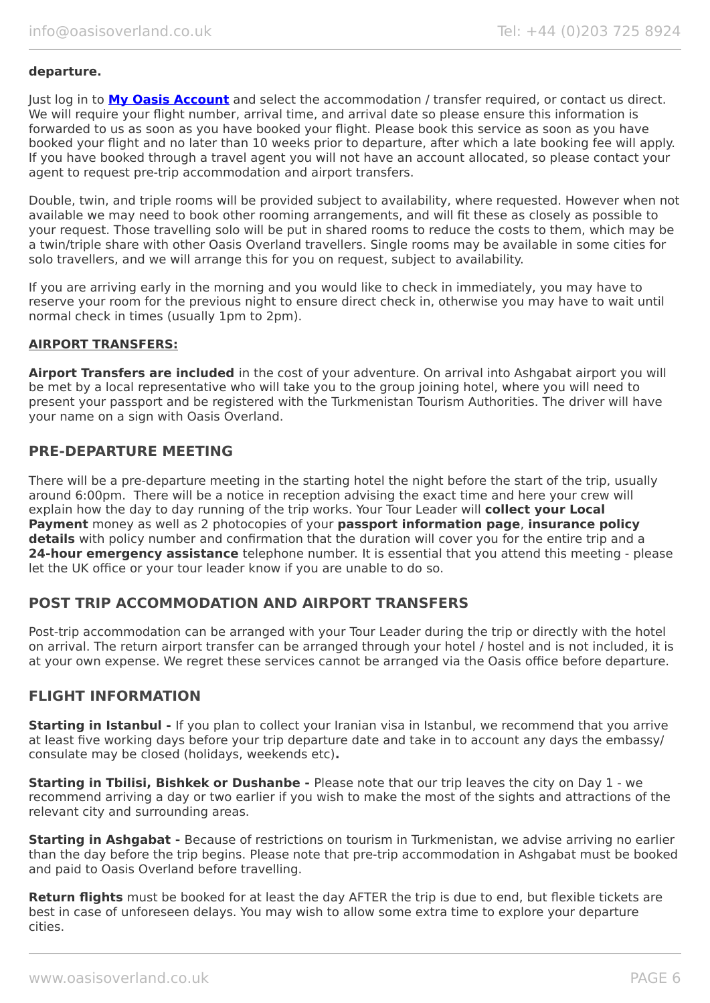#### **departure.**

Just log in to **[My Oasis Account](https://oasisportal.eecsoftware.com/login.php)** and select the accommodation / transfer required, or contact us direct. We will require your flight number, arrival time, and arrival date so please ensure this information is forwarded to us as soon as you have booked your flight. Please book this service as soon as you have booked your flight and no later than 10 weeks prior to departure, after which a late booking fee will apply. If you have booked through a travel agent you will not have an account allocated, so please contact your agent to request pre-trip accommodation and airport transfers.

Double, twin, and triple rooms will be provided subject to availability, where requested. However when not available we may need to book other rooming arrangements, and will fit these as closely as possible to your request. Those travelling solo will be put in shared rooms to reduce the costs to them, which may be a twin/triple share with other Oasis Overland travellers. Single rooms may be available in some cities for solo travellers, and we will arrange this for you on request, subject to availability.

If you are arriving early in the morning and you would like to check in immediately, you may have to reserve your room for the previous night to ensure direct check in, otherwise you may have to wait until normal check in times (usually 1pm to 2pm).

#### **AIRPORT TRANSFERS:**

**Airport Transfers are included** in the cost of your adventure. On arrival into Ashgabat airport you will be met by a local representative who will take you to the group joining hotel, where you will need to present your passport and be registered with the Turkmenistan Tourism Authorities. The driver will have your name on a sign with Oasis Overland.

### **PRE-DEPARTURE MEETING**

There will be a pre-departure meeting in the starting hotel the night before the start of the trip, usually around 6:00pm. There will be a notice in reception advising the exact time and here your crew will explain how the day to day running of the trip works. Your Tour Leader will **collect your Local Payment** money as well as 2 photocopies of your **passport information page**, **insurance policy details** with policy number and confirmation that the duration will cover you for the entire trip and a **24-hour emergency assistance** telephone number. It is essential that you attend this meeting - please let the UK office or your tour leader know if you are unable to do so.

### **POST TRIP ACCOMMODATION AND AIRPORT TRANSFERS**

Post-trip accommodation can be arranged with your Tour Leader during the trip or directly with the hotel on arrival. The return airport transfer can be arranged through your hotel / hostel and is not included, it is at your own expense. We regret these services cannot be arranged via the Oasis office before departure.

### **FLIGHT INFORMATION**

**Starting in Istanbul -** If you plan to collect your Iranian visa in Istanbul, we recommend that you arrive at least five working days before your trip departure date and take in to account any days the embassy/ consulate may be closed (holidays, weekends etc)**.**

**Starting in Tbilisi, Bishkek or Dushanbe -** Please note that our trip leaves the city on Day 1 - we recommend arriving a day or two earlier if you wish to make the most of the sights and attractions of the relevant city and surrounding areas.

**Starting in Ashgabat -** Because of restrictions on tourism in Turkmenistan, we advise arriving no earlier than the day before the trip begins. Please note that pre-trip accommodation in Ashgabat must be booked and paid to Oasis Overland before travelling.

**Return flights** must be booked for at least the day AFTER the trip is due to end, but flexible tickets are best in case of unforeseen delays. You may wish to allow some extra time to explore your departure cities.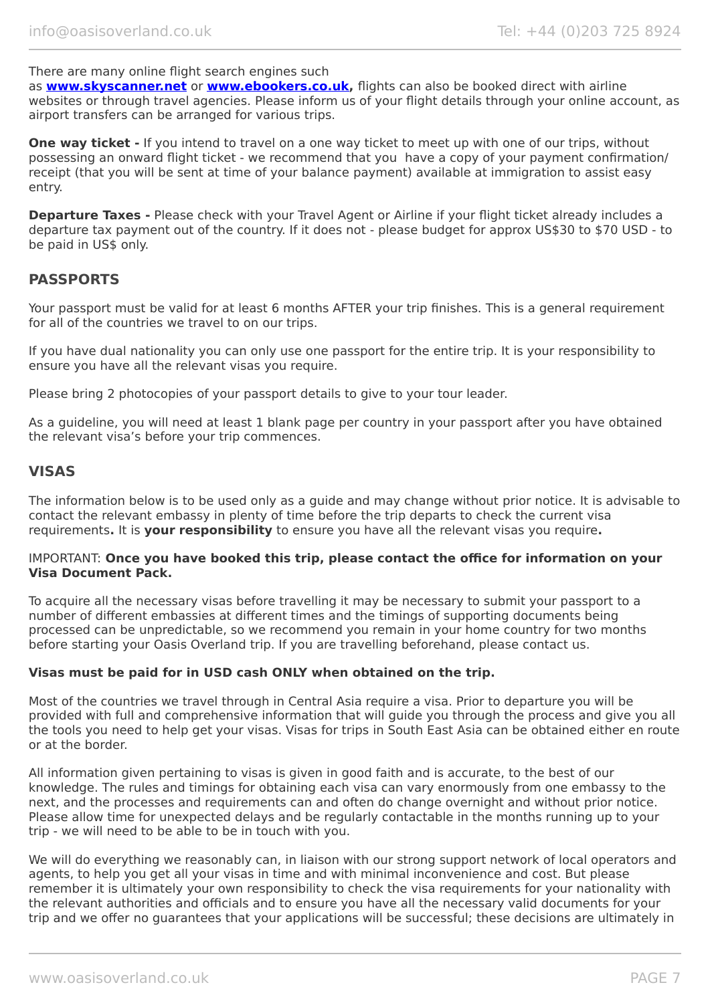There are many online flight search engines such

as **[www.skyscanner.net](http://www.dpbolvw.net/click-5720161-10639348)** or **[www.ebookers.co.uk,](http://www.ebookers.co.uk/)** flights can also be booked direct with airline websites or through travel agencies. Please inform us of your flight details through your online account, as airport transfers can be arranged for various trips.

**One way ticket** - If you intend to travel on a one way ticket to meet up with one of our trips, without possessing an onward flight ticket - we recommend that you have a copy of your payment confirmation/ receipt (that you will be sent at time of your balance payment) available at immigration to assist easy entry.

**Departure Taxes -** Please check with your Travel Agent or Airline if your flight ticket already includes a departure tax payment out of the country. If it does not - please budget for approx US\$30 to \$70 USD - to be paid in US\$ only.

### **PASSPORTS**

Your passport must be valid for at least 6 months AFTER your trip finishes. This is a general requirement for all of the countries we travel to on our trips.

If you have dual nationality you can only use one passport for the entire trip. It is your responsibility to ensure you have all the relevant visas you require.

Please bring 2 photocopies of your passport details to give to your tour leader.

As a guideline, you will need at least 1 blank page per country in your passport after you have obtained the relevant visa's before your trip commences.

### **VISAS**

The information below is to be used only as a guide and may change without prior notice. It is advisable to contact the relevant embassy in plenty of time before the trip departs to check the current visa requirements**.** It is **your responsibility** to ensure you have all the relevant visas you require**.**

#### IMPORTANT: **Once you have booked this trip, please contact the office for information on your Visa Document Pack.**

To acquire all the necessary visas before travelling it may be necessary to submit your passport to a number of different embassies at different times and the timings of supporting documents being processed can be unpredictable, so we recommend you remain in your home country for two months before starting your Oasis Overland trip. If you are travelling beforehand, please contact us.

#### **Visas must be paid for in USD cash ONLY when obtained on the trip.**

Most of the countries we travel through in Central Asia require a visa. Prior to departure you will be provided with full and comprehensive information that will guide you through the process and give you all the tools you need to help get your visas. Visas for trips in South East Asia can be obtained either en route or at the border.

All information given pertaining to visas is given in good faith and is accurate, to the best of our knowledge. The rules and timings for obtaining each visa can vary enormously from one embassy to the next, and the processes and requirements can and often do change overnight and without prior notice. Please allow time for unexpected delays and be regularly contactable in the months running up to your trip - we will need to be able to be in touch with you.

We will do everything we reasonably can, in liaison with our strong support network of local operators and agents, to help you get all your visas in time and with minimal inconvenience and cost. But please remember it is ultimately your own responsibility to check the visa requirements for your nationality with the relevant authorities and officials and to ensure you have all the necessary valid documents for your trip and we offer no guarantees that your applications will be successful; these decisions are ultimately in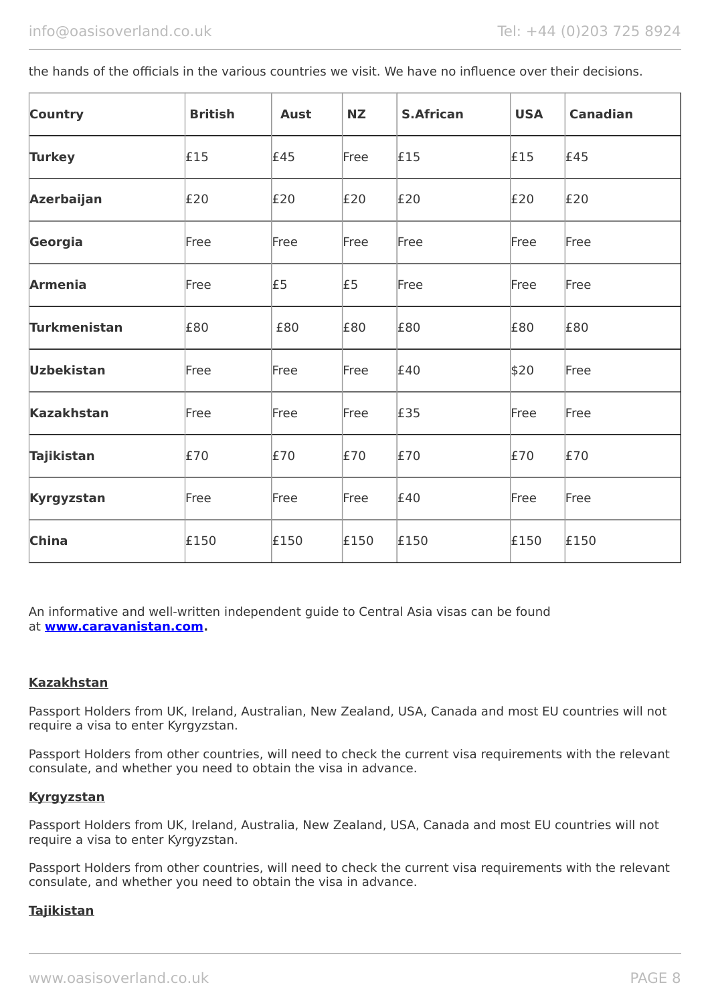the hands of the officials in the various countries we visit. We have no influence over their decisions.

| <b>Country</b>      | <b>British</b> | <b>Aust</b> | <b>NZ</b> | <b>S.African</b> | <b>USA</b> | <b>Canadian</b> |
|---------------------|----------------|-------------|-----------|------------------|------------|-----------------|
| <b>Turkey</b>       | £15            | £45         | Free      | £15              | £15        | £45             |
| <b>Azerbaijan</b>   | E20            | E20         | E20       | E20              | E20        | E20             |
| Georgia             | Free           | Free        | Free      | Free             | Free       | Free            |
| <b>Armenia</b>      | Free           | £5          | £5        | Free             | Free       | Free            |
| <b>Turkmenistan</b> | £80            | £80         | £80       | £80              | £80        | £80             |
| <b>Uzbekistan</b>   | Free           | Free        | Free      | £40              | \$20       | Free            |
| <b>Kazakhstan</b>   | Free           | Free        | Free      | £35              | Free       | Free            |
| <b>Tajikistan</b>   | £70            | £70         | £70       | E70              | £70        | £70             |
| <b>Kyrgyzstan</b>   | Free           | Free        | Free      | £40              | Free       | Free            |
| <b>China</b>        | £150           | £150        | £150      | £150             | £150       | £150            |

An informative and well-written independent guide to Central Asia visas can be found at **[www.caravanistan.com.](http://www.caravanistan.com/)**

#### **Kazakhstan**

Passport Holders from UK, Ireland, Australian, New Zealand, USA, Canada and most EU countries will not require a visa to enter Kyrgyzstan.

Passport Holders from other countries, will need to check the current visa requirements with the relevant consulate, and whether you need to obtain the visa in advance.

#### **Kyrgyzstan**

Passport Holders from UK, Ireland, Australia, New Zealand, USA, Canada and most EU countries will not require a visa to enter Kyrgyzstan.

Passport Holders from other countries, will need to check the current visa requirements with the relevant consulate, and whether you need to obtain the visa in advance.

#### **Tajikistan**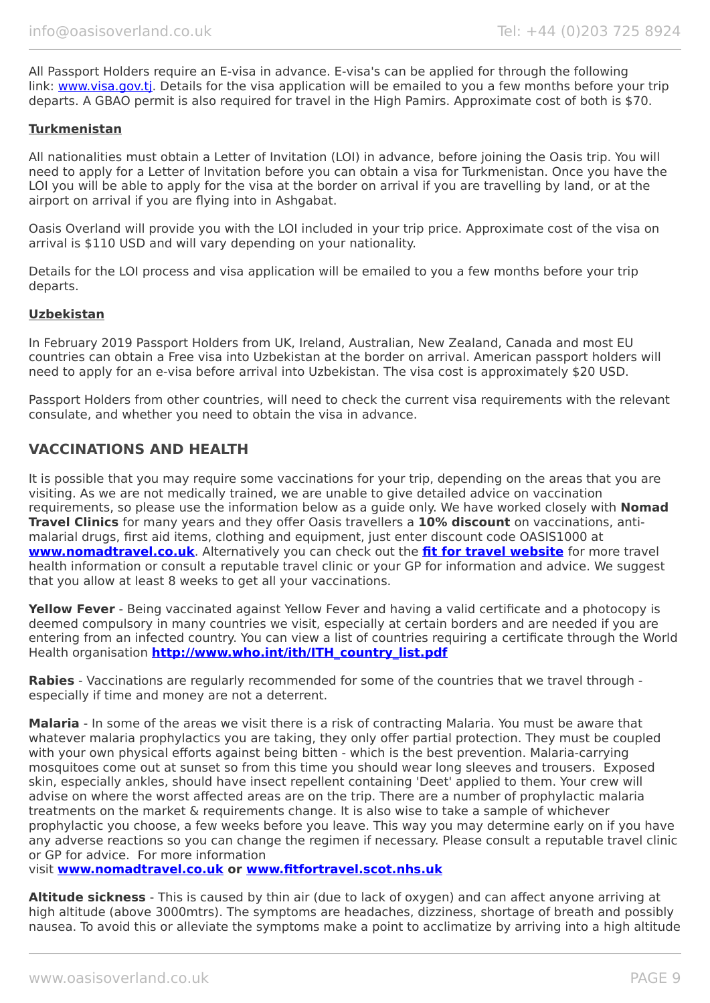All Passport Holders require an E-visa in advance. E-visa's can be applied for through the following link: [www.visa.gov.tj.](https://www.visa.gov.tj/index.html) Details for the visa application will be emailed to you a few months before your trip departs. A GBAO permit is also required for travel in the High Pamirs. Approximate cost of both is \$70.

#### **Turkmenistan**

All nationalities must obtain a Letter of Invitation (LOI) in advance, before joining the Oasis trip. You will need to apply for a Letter of Invitation before you can obtain a visa for Turkmenistan. Once you have the LOI you will be able to apply for the visa at the border on arrival if you are travelling by land, or at the airport on arrival if you are flying into in Ashgabat.

Oasis Overland will provide you with the LOI included in your trip price. Approximate cost of the visa on arrival is \$110 USD and will vary depending on your nationality.

Details for the LOI process and visa application will be emailed to you a few months before your trip departs.

#### **Uzbekistan**

In February 2019 Passport Holders from UK, Ireland, Australian, New Zealand, Canada and most EU countries can obtain a Free visa into Uzbekistan at the border on arrival. American passport holders will need to apply for an e-visa before arrival into Uzbekistan. The visa cost is approximately \$20 USD.

Passport Holders from other countries, will need to check the current visa requirements with the relevant consulate, and whether you need to obtain the visa in advance.

### **VACCINATIONS AND HEALTH**

It is possible that you may require some vaccinations for your trip, depending on the areas that you are visiting. As we are not medically trained, we are unable to give detailed advice on vaccination requirements, so please use the information below as a guide only. We have worked closely with **Nomad Travel Clinics** for many years and they offer Oasis travellers a **10% discount** on vaccinations, antimalarial drugs, first aid items, clothing and equipment, just enter discount code OASIS1000 at **[www.nomadtravel.co.uk](http://www.nomadtravel.co.uk/)**. Alternatively you can check out the **[fit for travel website](http://www.fitfortravel.scot.nhs.uk/home.aspx)** for more travel health information or consult a reputable travel clinic or your GP for information and advice. We suggest that you allow at least 8 weeks to get all your vaccinations.

**Yellow Fever** - Being vaccinated against Yellow Fever and having a valid certificate and a photocopy is deemed compulsory in many countries we visit, especially at certain borders and are needed if you are entering from an infected country. You can view a list of countries requiring a certificate through the World Health organisation **[http://www.who.int/ith/ITH\\_country\\_list.pdf](http://www.who.int/ith/ITH_country_list.pdf)**

**Rabies** - Vaccinations are regularly recommended for some of the countries that we travel through especially if time and money are not a deterrent.

**Malaria** - In some of the areas we visit there is a risk of contracting Malaria. You must be aware that whatever malaria prophylactics you are taking, they only offer partial protection. They must be coupled with your own physical efforts against being bitten - which is the best prevention. Malaria-carrying mosquitoes come out at sunset so from this time you should wear long sleeves and trousers. Exposed skin, especially ankles, should have insect repellent containing 'Deet' applied to them. Your crew will advise on where the worst affected areas are on the trip. There are a number of prophylactic malaria treatments on the market & requirements change. It is also wise to take a sample of whichever prophylactic you choose, a few weeks before you leave. This way you may determine early on if you have any adverse reactions so you can change the regimen if necessary. Please consult a reputable travel clinic or GP for advice. For more information

visit **[www.nomadtravel.co.uk](https://www.nomadtravel.co.uk/) or [www.fitfortravel.scot.nhs.uk](http://www.fitfortravel.scot.nhs.uk/)**

**Altitude sickness** - This is caused by thin air (due to lack of oxygen) and can affect anyone arriving at high altitude (above 3000mtrs). The symptoms are headaches, dizziness, shortage of breath and possibly nausea. To avoid this or alleviate the symptoms make a point to acclimatize by arriving into a high altitude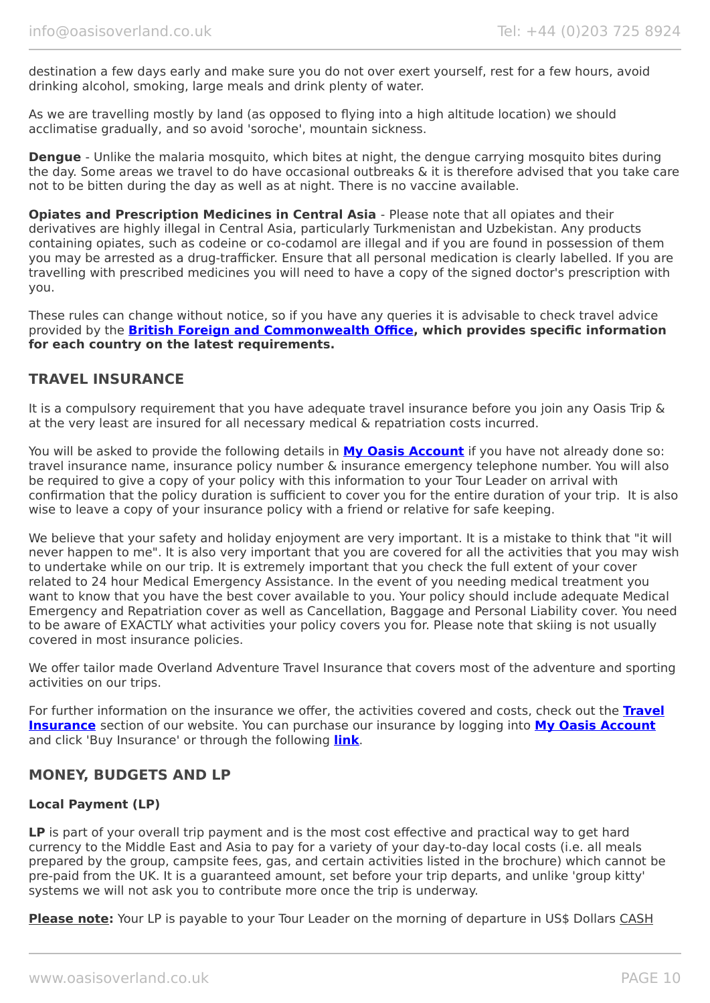destination a few days early and make sure you do not over exert yourself, rest for a few hours, avoid drinking alcohol, smoking, large meals and drink plenty of water.

As we are travelling mostly by land (as opposed to flying into a high altitude location) we should acclimatise gradually, and so avoid 'soroche', mountain sickness.

**Dengue** - Unlike the malaria mosquito, which bites at night, the dengue carrying mosquito bites during the day. Some areas we travel to do have occasional outbreaks & it is therefore advised that you take care not to be bitten during the day as well as at night. There is no vaccine available.

**Opiates and Prescription Medicines in Central Asia - Please note that all opiates and their** derivatives are highly illegal in Central Asia, particularly Turkmenistan and Uzbekistan. Any products containing opiates, such as codeine or co-codamol are illegal and if you are found in possession of them you may be arrested as a drug-trafficker. Ensure that all personal medication is clearly labelled. If you are travelling with prescribed medicines you will need to have a copy of the signed doctor's prescription with you.

These rules can change without notice, so if you have any queries it is advisable to check travel advice provided by the **[British Foreign and Commonwealth Office,](https://www.gov.uk/foreign-travel-advice/uzbekistan/entry-requirements) which provides specific information for each country on the latest requirements.**

### **TRAVEL INSURANCE**

It is a compulsory requirement that you have adequate travel insurance before you join any Oasis Trip & at the very least are insured for all necessary medical & repatriation costs incurred.

You will be asked to provide the following details in **My [Oasis Account](https://oasisportal.eecsoftware.com/)** if you have not already done so: travel insurance name, insurance policy number & insurance emergency telephone number. You will also be required to give a copy of your policy with this information to your Tour Leader on arrival with confirmation that the policy duration is sufficient to cover you for the entire duration of your trip. It is also wise to leave a copy of your insurance policy with a friend or relative for safe keeping.

We believe that your safety and holiday enjoyment are very important. It is a mistake to think that "it will never happen to me". It is also very important that you are covered for all the activities that you may wish to undertake while on our trip. It is extremely important that you check the full extent of your cover related to 24 hour Medical Emergency Assistance. In the event of you needing medical treatment you want to know that you have the best cover available to you. Your policy should include adequate Medical Emergency and Repatriation cover as well as Cancellation, Baggage and Personal Liability cover. You need to be aware of EXACTLY what activities your policy covers you for. Please note that skiing is not usually covered in most insurance policies.

We offer tailor made Overland Adventure Travel Insurance that covers most of the adventure and sporting activities on our trips.

For further information on the insurance we offer, the activities covered and costs, check out the **[Travel](https://www.oasisoverland.co.uk/travel-insurance) [Insurance](https://www.oasisoverland.co.uk/travel-insurance)** section of our website. You can purchase our insurance by logging into **[My Oasis Account](https://oasisportal.eecsoftware.com/)** and click 'Buy Insurance' or through the following **[link](https://www.campbellirvinedirect.com/oasisoverland/)**.

### **MONEY, BUDGETS AND LP**

#### **Local Payment (LP)**

**LP** is part of your overall trip payment and is the most cost effective and practical way to get hard currency to the Middle East and Asia to pay for a variety of your day-to-day local costs (i.e. all meals prepared by the group, campsite fees, gas, and certain activities listed in the brochure) which cannot be pre-paid from the UK. It is a guaranteed amount, set before your trip departs, and unlike 'group kitty' systems we will not ask you to contribute more once the trip is underway.

**Please note:** Your LP is payable to your Tour Leader on the morning of departure in US\$ Dollars CASH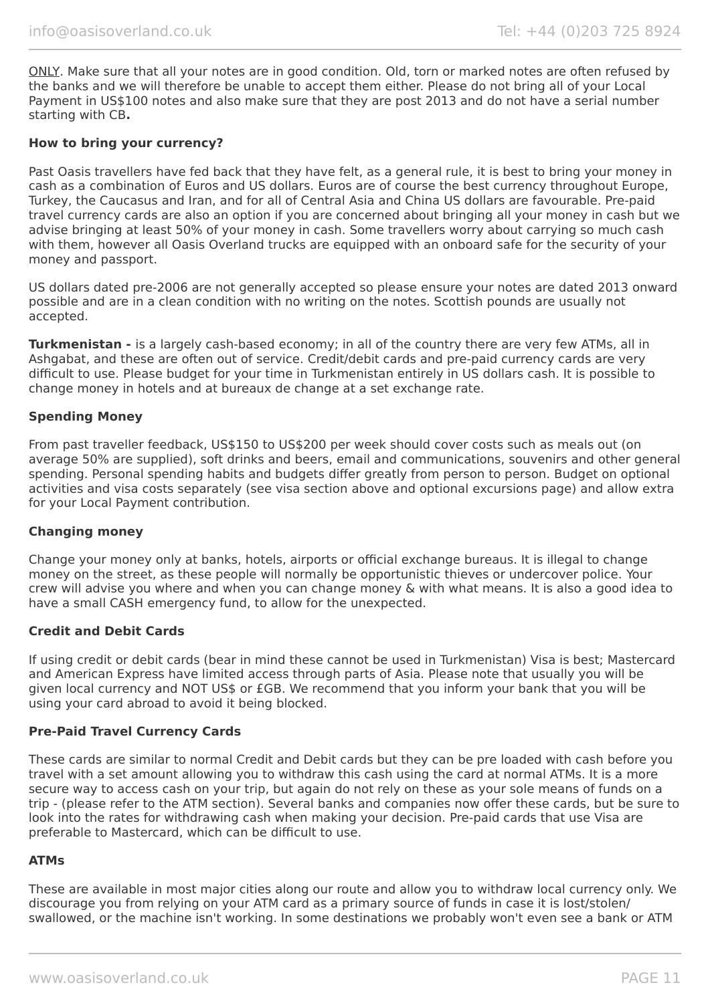ONLY. Make sure that all your notes are in good condition. Old, torn or marked notes are often refused by the banks and we will therefore be unable to accept them either. Please do not bring all of your Local Payment in US\$100 notes and also make sure that they are post 2013 and do not have a serial number starting with CB**.**

#### **How to bring your currency?**

Past Oasis travellers have fed back that they have felt, as a general rule, it is best to bring your money in cash as a combination of Euros and US dollars. Euros are of course the best currency throughout Europe, Turkey, the Caucasus and Iran, and for all of Central Asia and China US dollars are favourable. Pre-paid travel currency cards are also an option if you are concerned about bringing all your money in cash but we advise bringing at least 50% of your money in cash. Some travellers worry about carrying so much cash with them, however all Oasis Overland trucks are equipped with an onboard safe for the security of your money and passport.

US dollars dated pre-2006 are not generally accepted so please ensure your notes are dated 2013 onward possible and are in a clean condition with no writing on the notes. Scottish pounds are usually not accepted.

**Turkmenistan -** is a largely cash-based economy; in all of the country there are very few ATMs, all in Ashgabat, and these are often out of service. Credit/debit cards and pre-paid currency cards are very difficult to use. Please budget for your time in Turkmenistan entirely in US dollars cash. It is possible to change money in hotels and at bureaux de change at a set exchange rate.

#### **Spending Money**

From past traveller feedback, US\$150 to US\$200 per week should cover costs such as meals out (on average 50% are supplied), soft drinks and beers, email and communications, souvenirs and other general spending. Personal spending habits and budgets differ greatly from person to person. Budget on optional activities and visa costs separately (see visa section above and optional excursions page) and allow extra for your Local Payment contribution.

#### **Changing money**

Change your money only at banks, hotels, airports or official exchange bureaus. It is illegal to change money on the street, as these people will normally be opportunistic thieves or undercover police. Your crew will advise you where and when you can change money & with what means. It is also a good idea to have a small CASH emergency fund, to allow for the unexpected.

#### **Credit and Debit Cards**

If using credit or debit cards (bear in mind these cannot be used in Turkmenistan) Visa is best; Mastercard and American Express have limited access through parts of Asia. Please note that usually you will be given local currency and NOT US\$ or £GB. We recommend that you inform your bank that you will be using your card abroad to avoid it being blocked.

#### **Pre-Paid Travel Currency Cards**

These cards are similar to normal Credit and Debit cards but they can be pre loaded with cash before you travel with a set amount allowing you to withdraw this cash using the card at normal ATMs. It is a more secure way to access cash on your trip, but again do not rely on these as your sole means of funds on a trip - (please refer to the ATM section). Several banks and companies now offer these cards, but be sure to look into the rates for withdrawing cash when making your decision. Pre-paid cards that use Visa are preferable to Mastercard, which can be difficult to use.

#### **ATMs**

These are available in most major cities along our route and allow you to withdraw local currency only. We discourage you from relying on your ATM card as a primary source of funds in case it is lost/stolen/ swallowed, or the machine isn't working. In some destinations we probably won't even see a bank or ATM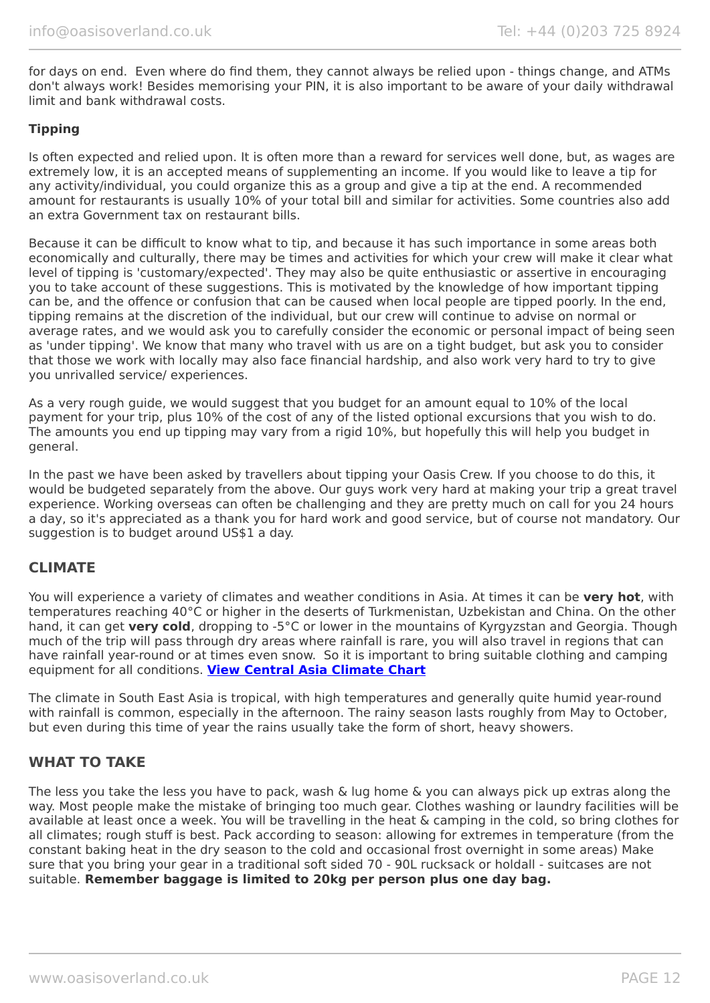for days on end. Even where do find them, they cannot always be relied upon - things change, and ATMs don't always work! Besides memorising your PIN, it is also important to be aware of your daily withdrawal limit and bank withdrawal costs.

#### **Tipping**

Is often expected and relied upon. It is often more than a reward for services well done, but, as wages are extremely low, it is an accepted means of supplementing an income. If you would like to leave a tip for any activity/individual, you could organize this as a group and give a tip at the end. A recommended amount for restaurants is usually 10% of your total bill and similar for activities. Some countries also add an extra Government tax on restaurant bills.

Because it can be difficult to know what to tip, and because it has such importance in some areas both economically and culturally, there may be times and activities for which your crew will make it clear what level of tipping is 'customary/expected'. They may also be quite enthusiastic or assertive in encouraging you to take account of these suggestions. This is motivated by the knowledge of how important tipping can be, and the offence or confusion that can be caused when local people are tipped poorly. In the end, tipping remains at the discretion of the individual, but our crew will continue to advise on normal or average rates, and we would ask you to carefully consider the economic or personal impact of being seen as 'under tipping'. We know that many who travel with us are on a tight budget, but ask you to consider that those we work with locally may also face financial hardship, and also work very hard to try to give you unrivalled service/ experiences.

As a very rough guide, we would suggest that you budget for an amount equal to 10% of the local payment for your trip, plus 10% of the cost of any of the listed optional excursions that you wish to do. The amounts you end up tipping may vary from a rigid 10%, but hopefully this will help you budget in general.

In the past we have been asked by travellers about tipping your Oasis Crew. If you choose to do this, it would be budgeted separately from the above. Our guys work very hard at making your trip a great travel experience. Working overseas can often be challenging and they are pretty much on call for you 24 hours a day, so it's appreciated as a thank you for hard work and good service, but of course not mandatory. Our suggestion is to budget around US\$1 a day.

### **CLIMATE**

You will experience a variety of climates and weather conditions in Asia. At times it can be **very hot**, with temperatures reaching 40°C or higher in the deserts of Turkmenistan, Uzbekistan and China. On the other hand, it can get **very cold**, dropping to -5°C or lower in the mountains of Kyrgyzstan and Georgia. Though much of the trip will pass through dry areas where rainfall is rare, you will also travel in regions that can have rainfall year-round or at times even snow. So it is important to bring suitable clothing and camping equipment for all conditions. **[View Central Asia Climate Chart](https://www.oasisoverland.co.uk/central-asia-climate-chart)**

The climate in South East Asia is tropical, with high temperatures and generally quite humid year-round with rainfall is common, especially in the afternoon. The rainy season lasts roughly from May to October, but even during this time of year the rains usually take the form of short, heavy showers.

### **WHAT TO TAKE**

The less you take the less you have to pack, wash & lug home & you can always pick up extras along the way. Most people make the mistake of bringing too much gear. Clothes washing or laundry facilities will be available at least once a week. You will be travelling in the heat & camping in the cold, so bring clothes for all climates; rough stuff is best. Pack according to season: allowing for extremes in temperature (from the constant baking heat in the dry season to the cold and occasional frost overnight in some areas) Make sure that you bring your gear in a traditional soft sided 70 - 90L rucksack or holdall - suitcases are not suitable. **Remember baggage is limited to 20kg per person plus one day bag.**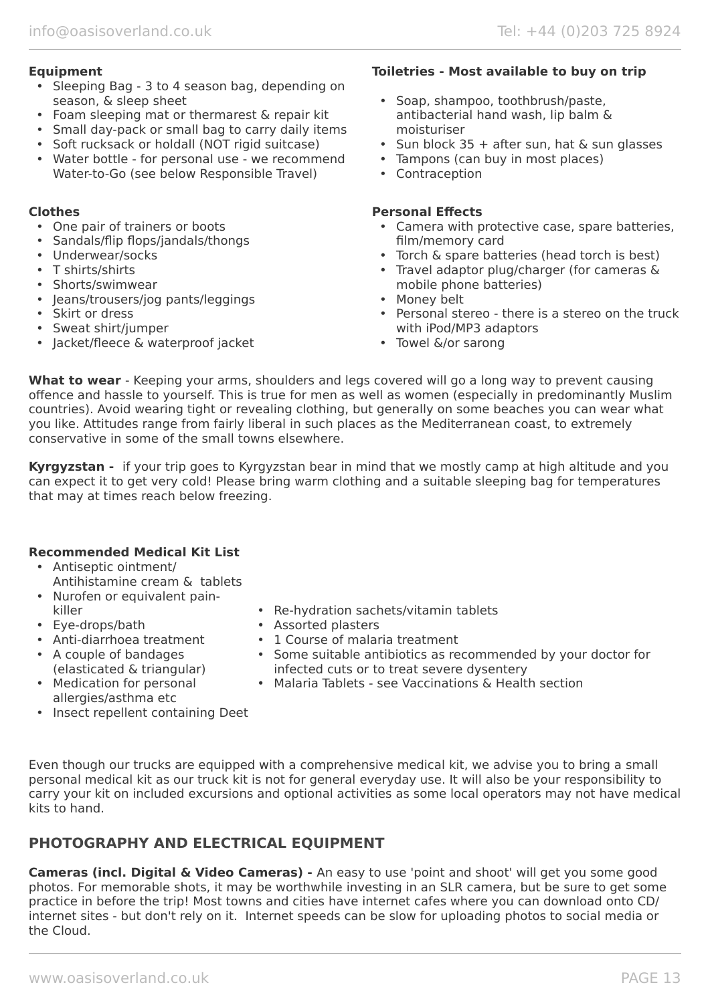- Sleeping Bag 3 to 4 season bag, depending on season, & sleep sheet
- Foam sleeping mat or thermarest & repair kit
- Small day-pack or small bag to carry daily items
- Soft rucksack or holdall (NOT rigid suitcase)
- Water bottle for personal use we recommend Water-to-Go (see below Responsible Travel)

- One pair of trainers or boots
- Sandals/flip flops/jandals/thongs
- Underwear/socks
- T shirts/shirts
- Shorts/swimwear
- Jeans/trousers/jog pants/leggings
- Skirt or dress
- Sweat shirt/jumper
- Jacket/fleece & waterproof jacket

#### **Equipment Toiletries - Most available to buy on trip**

- Soap, shampoo, toothbrush/paste, antibacterial hand wash, lip balm & moisturiser
- Sun block  $35 +$  after sun, hat & sun glasses
- Tampons (can buy in most places)
- Contraception

#### **Clothes Personal Effects**

- Camera with protective case, spare batteries, film/memory card
- Torch & spare batteries (head torch is best)
- Travel adaptor plug/charger (for cameras & mobile phone batteries)
- Money belt
- Personal stereo there is a stereo on the truck with iPod/MP3 adaptors
- Towel &/or sarong

**What to wear** - Keeping your arms, shoulders and legs covered will go a long way to prevent causing offence and hassle to yourself. This is true for men as well as women (especially in predominantly Muslim countries). Avoid wearing tight or revealing clothing, but generally on some beaches you can wear what you like. Attitudes range from fairly liberal in such places as the Mediterranean coast, to extremely conservative in some of the small towns elsewhere.

**Kyrgyzstan -** if your trip goes to Kyrgyzstan bear in mind that we mostly camp at high altitude and you can expect it to get very cold! Please bring warm clothing and a suitable sleeping bag for temperatures that may at times reach below freezing.

### **Recommended Medical Kit List**

- Antiseptic ointment/
- Antihistamine cream & tablets • Nurofen or equivalent pain-
- killer
- Eye-drops/bath
- Anti-diarrhoea treatment
- A couple of bandages (elasticated & triangular)
- Medication for personal
- allergies/asthma etc
- Insect repellent containing Deet
- Re-hydration sachets/vitamin tablets
- Assorted plasters
- 1 Course of malaria treatment
- Some suitable antibiotics as recommended by your doctor for infected cuts or to treat severe dysentery
- Malaria Tablets see Vaccinations & Health section

Even though our trucks are equipped with a comprehensive medical kit, we advise you to bring a small personal medical kit as our truck kit is not for general everyday use. It will also be your responsibility to carry your kit on included excursions and optional activities as some local operators may not have medical kits to hand.

### **PHOTOGRAPHY AND ELECTRICAL EQUIPMENT**

**Cameras (incl. Digital & Video Cameras) -** An easy to use 'point and shoot' will get you some good photos. For memorable shots, it may be worthwhile investing in an SLR camera, but be sure to get some practice in before the trip! Most towns and cities have internet cafes where you can download onto CD/ internet sites - but don't rely on it. Internet speeds can be slow for uploading photos to social media or the Cloud.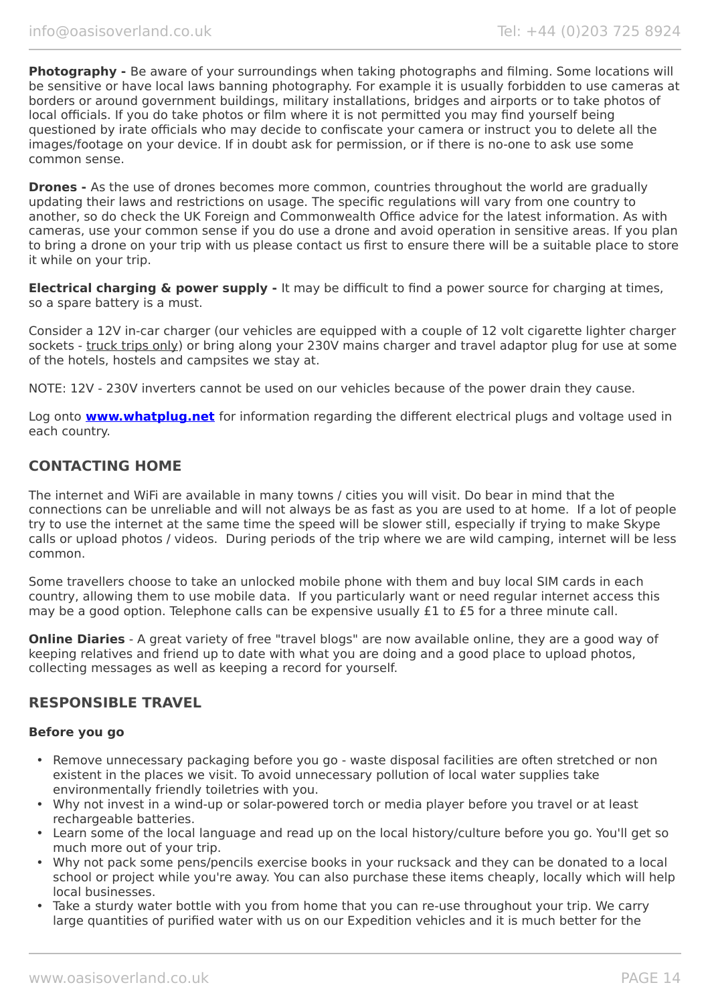**Photography -** Be aware of your surroundings when taking photographs and filming. Some locations will be sensitive or have local laws banning photography. For example it is usually forbidden to use cameras at borders or around government buildings, military installations, bridges and airports or to take photos of local officials. If you do take photos or film where it is not permitted you may find yourself being questioned by irate officials who may decide to confiscate your camera or instruct you to delete all the images/footage on your device. If in doubt ask for permission, or if there is no-one to ask use some common sense.

**Drones -** As the use of drones becomes more common, countries throughout the world are gradually updating their laws and restrictions on usage. The specific regulations will vary from one country to another, so do check the UK Foreign and Commonwealth Office advice for the latest information. As with cameras, use your common sense if you do use a drone and avoid operation in sensitive areas. If you plan to bring a drone on your trip with us please contact us first to ensure there will be a suitable place to store it while on your trip.

**Electrical charging & power supply -** It may be difficult to find a power source for charging at times, so a spare battery is a must.

Consider a 12V in-car charger (our vehicles are equipped with a couple of 12 volt cigarette lighter charger sockets - truck trips only) or bring along your 230V mains charger and travel adaptor plug for use at some of the hotels, hostels and campsites we stay at.

NOTE: 12V - 230V inverters cannot be used on our vehicles because of the power drain they cause.

Log onto **[www.whatplug.net](http://www.whatplug.net/)** for information regarding the different electrical plugs and voltage used in each country.

### **CONTACTING HOME**

The internet and WiFi are available in many towns / cities you will visit. Do bear in mind that the connections can be unreliable and will not always be as fast as you are used to at home. If a lot of people try to use the internet at the same time the speed will be slower still, especially if trying to make Skype calls or upload photos / videos. During periods of the trip where we are wild camping, internet will be less common.

Some travellers choose to take an unlocked mobile phone with them and buy local SIM cards in each country, allowing them to use mobile data. If you particularly want or need regular internet access this may be a good option. Telephone calls can be expensive usually £1 to £5 for a three minute call.

**Online Diaries** - A great variety of free "travel blogs" are now available online, they are a good way of keeping relatives and friend up to date with what you are doing and a good place to upload photos, collecting messages as well as keeping a record for yourself.

### **RESPONSIBLE TRAVEL**

#### **Before you go**

- Remove unnecessary packaging before you go waste disposal facilities are often stretched or non existent in the places we visit. To avoid unnecessary pollution of local water supplies take environmentally friendly toiletries with you.
- Why not invest in a wind-up or solar-powered torch or media player before you travel or at least rechargeable batteries.
- Learn some of the local language and read up on the local history/culture before you go. You'll get so much more out of your trip.
- Why not pack some pens/pencils exercise books in your rucksack and they can be donated to a local school or project while you're away. You can also purchase these items cheaply, locally which will help local businesses.
- Take a sturdy water bottle with you from home that you can re-use throughout your trip. We carry large quantities of purified water with us on our Expedition vehicles and it is much better for the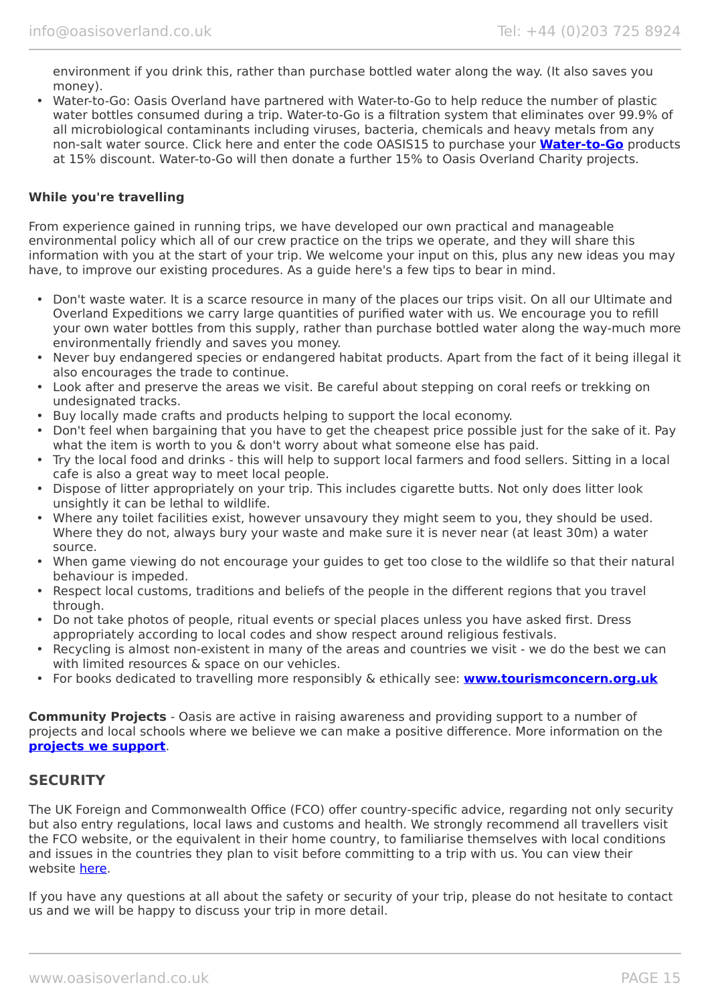environment if you drink this, rather than purchase bottled water along the way. (It also saves you money).

• Water-to-Go: Oasis Overland have partnered with Water-to-Go to help reduce the number of plastic water bottles consumed during a trip. Water-to-Go is a filtration system that eliminates over 99.9% of all microbiological contaminants including viruses, bacteria, chemicals and heavy metals from any non-salt water source. Click here and enter the code OASIS15 to purchase your **[Water-to-Go](https://watertogo.eu/partnerships/oasisoverland/)** products at 15% discount. Water-to-Go will then donate a further 15% to Oasis Overland Charity projects.

#### **While you're travelling**

From experience gained in running trips, we have developed our own practical and manageable environmental policy which all of our crew practice on the trips we operate, and they will share this information with you at the start of your trip. We welcome your input on this, plus any new ideas you may have, to improve our existing procedures. As a guide here's a few tips to bear in mind.

- Don't waste water. It is a scarce resource in many of the places our trips visit. On all our Ultimate and Overland Expeditions we carry large quantities of purified water with us. We encourage you to refill your own water bottles from this supply, rather than purchase bottled water along the way-much more environmentally friendly and saves you money.
- Never buy endangered species or endangered habitat products. Apart from the fact of it being illegal it also encourages the trade to continue.
- Look after and preserve the areas we visit. Be careful about stepping on coral reefs or trekking on undesignated tracks.
- Buy locally made crafts and products helping to support the local economy.
- Don't feel when bargaining that you have to get the cheapest price possible just for the sake of it. Pay what the item is worth to you & don't worry about what someone else has paid.
- Try the local food and drinks this will help to support local farmers and food sellers. Sitting in a local cafe is also a great way to meet local people.
- Dispose of litter appropriately on your trip. This includes cigarette butts. Not only does litter look unsightly it can be lethal to wildlife.
- Where any toilet facilities exist, however unsavoury they might seem to you, they should be used. Where they do not, always bury your waste and make sure it is never near (at least 30m) a water source.
- When game viewing do not encourage your guides to get too close to the wildlife so that their natural behaviour is impeded.
- Respect local customs, traditions and beliefs of the people in the different regions that you travel through.
- Do not take photos of people, ritual events or special places unless you have asked first. Dress appropriately according to local codes and show respect around religious festivals.
- Recycling is almost non-existent in many of the areas and countries we visit we do the best we can with limited resources & space on our vehicles.
- For books dedicated to travelling more responsibly & ethically see: **[www.tourismconcern.org.uk](https://www.tourismconcern.org.uk/)**

**Community Projects** - Oasis are active in raising awareness and providing support to a number of projects and local schools where we believe we can make a positive difference. More information on the **[projects we support](https://www.oasisoverland.co.uk/responsible-travel/charities-we-support)**.

### **SECURITY**

The UK Foreign and Commonwealth Office (FCO) offer country-specific advice, regarding not only security but also entry regulations, local laws and customs and health. We strongly recommend all travellers visit the FCO website, or the equivalent in their home country, to familiarise themselves with local conditions and issues in the countries they plan to visit before committing to a trip with us. You can view their website [here.](https://www.gov.uk/foreign-travel-advice)

If you have any questions at all about the safety or security of your trip, please do not hesitate to contact us and we will be happy to discuss your trip in more detail.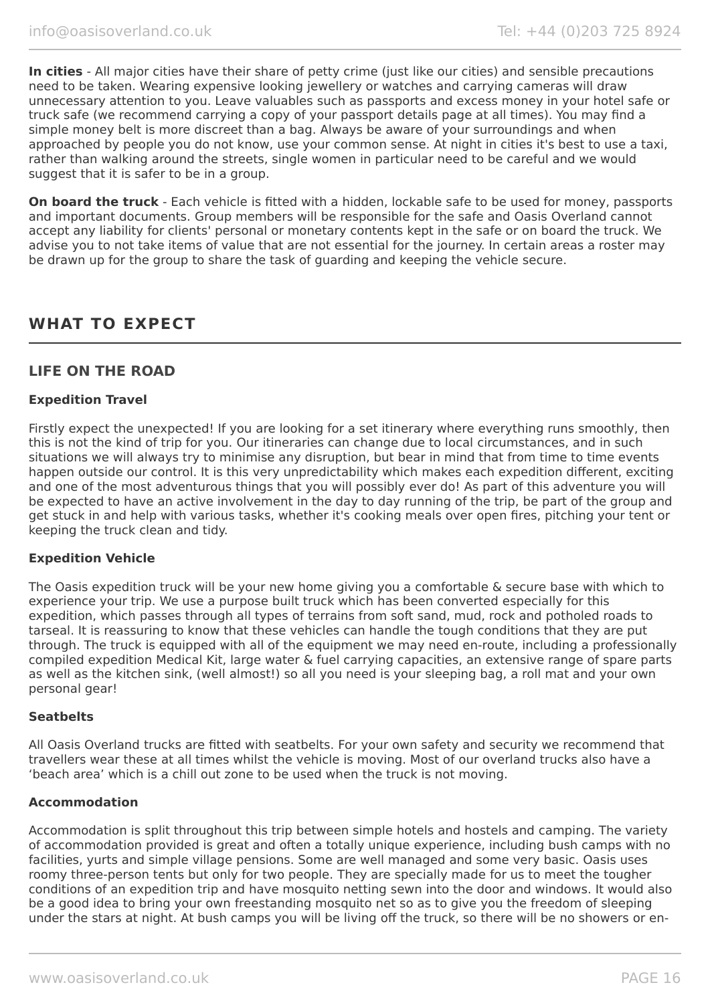**In cities** - All major cities have their share of petty crime (just like our cities) and sensible precautions need to be taken. Wearing expensive looking jewellery or watches and carrying cameras will draw unnecessary attention to you. Leave valuables such as passports and excess money in your hotel safe or truck safe (we recommend carrying a copy of your passport details page at all times). You may find a simple money belt is more discreet than a bag. Always be aware of your surroundings and when approached by people you do not know, use your common sense. At night in cities it's best to use a taxi, rather than walking around the streets, single women in particular need to be careful and we would suggest that it is safer to be in a group.

**On board the truck** - Each vehicle is fitted with a hidden, lockable safe to be used for money, passports and important documents. Group members will be responsible for the safe and Oasis Overland cannot accept any liability for clients' personal or monetary contents kept in the safe or on board the truck. We advise you to not take items of value that are not essential for the journey. In certain areas a roster may be drawn up for the group to share the task of guarding and keeping the vehicle secure.

### **WHAT TO EXPECT**

### **LIFE ON THE ROAD**

#### **Expedition Travel**

Firstly expect the unexpected! If you are looking for a set itinerary where everything runs smoothly, then this is not the kind of trip for you. Our itineraries can change due to local circumstances, and in such situations we will always try to minimise any disruption, but bear in mind that from time to time events happen outside our control. It is this very unpredictability which makes each expedition different, exciting and one of the most adventurous things that you will possibly ever do! As part of this adventure you will be expected to have an active involvement in the day to day running of the trip, be part of the group and get stuck in and help with various tasks, whether it's cooking meals over open fires, pitching your tent or keeping the truck clean and tidy.

#### **Expedition Vehicle**

The Oasis expedition truck will be your new home giving you a comfortable & secure base with which to experience your trip. We use a purpose built truck which has been converted especially for this expedition, which passes through all types of terrains from soft sand, mud, rock and potholed roads to tarseal. It is reassuring to know that these vehicles can handle the tough conditions that they are put through. The truck is equipped with all of the equipment we may need en-route, including a professionally compiled expedition Medical Kit, large water & fuel carrying capacities, an extensive range of spare parts as well as the kitchen sink, (well almost!) so all you need is your sleeping bag, a roll mat and your own personal gear!

#### **Seatbelts**

All Oasis Overland trucks are fitted with seatbelts. For your own safety and security we recommend that travellers wear these at all times whilst the vehicle is moving. Most of our overland trucks also have a 'beach area' which is a chill out zone to be used when the truck is not moving.

#### **Accommodation**

Accommodation is split throughout this trip between simple hotels and hostels and camping. The variety of accommodation provided is great and often a totally unique experience, including bush camps with no facilities, yurts and simple village pensions. Some are well managed and some very basic. Oasis uses roomy three-person tents but only for two people. They are specially made for us to meet the tougher conditions of an expedition trip and have mosquito netting sewn into the door and windows. It would also be a good idea to bring your own freestanding mosquito net so as to give you the freedom of sleeping under the stars at night. At bush camps you will be living off the truck, so there will be no showers or en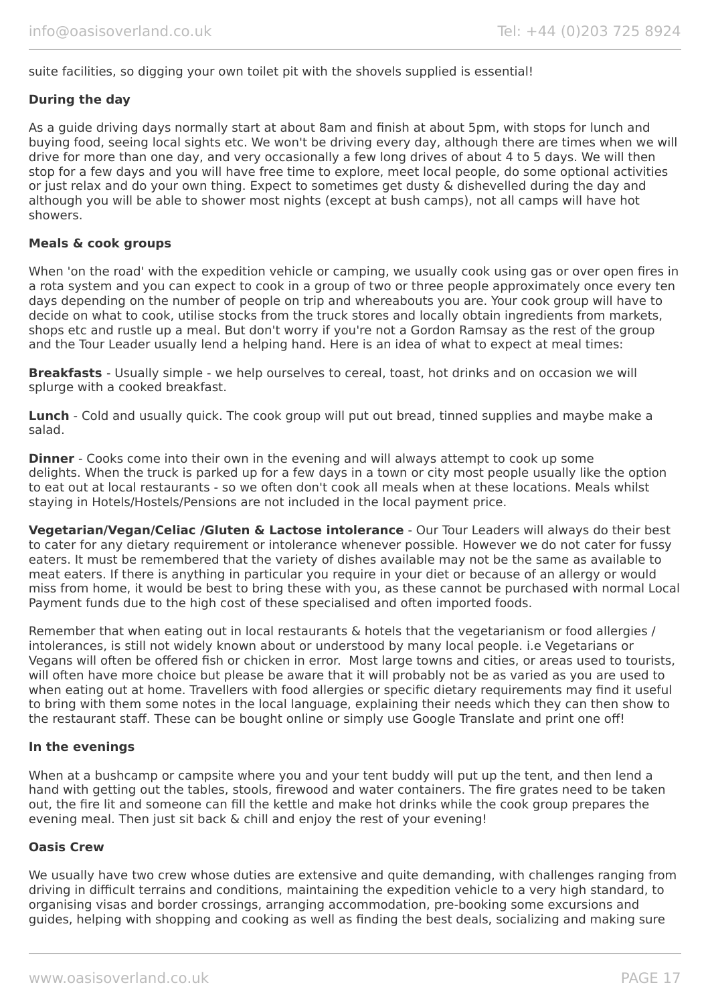suite facilities, so digging your own toilet pit with the shovels supplied is essential!

#### **During the day**

As a guide driving days normally start at about 8am and finish at about 5pm, with stops for lunch and buying food, seeing local sights etc. We won't be driving every day, although there are times when we will drive for more than one day, and very occasionally a few long drives of about 4 to 5 days. We will then stop for a few days and you will have free time to explore, meet local people, do some optional activities or just relax and do your own thing. Expect to sometimes get dusty & dishevelled during the day and although you will be able to shower most nights (except at bush camps), not all camps will have hot showers.

#### **Meals & cook groups**

When 'on the road' with the expedition vehicle or camping, we usually cook using gas or over open fires in a rota system and you can expect to cook in a group of two or three people approximately once every ten days depending on the number of people on trip and whereabouts you are. Your cook group will have to decide on what to cook, utilise stocks from the truck stores and locally obtain ingredients from markets, shops etc and rustle up a meal. But don't worry if you're not a Gordon Ramsay as the rest of the group and the Tour Leader usually lend a helping hand. Here is an idea of what to expect at meal times:

**Breakfasts** - Usually simple - we help ourselves to cereal, toast, hot drinks and on occasion we will splurge with a cooked breakfast.

**Lunch** - Cold and usually quick. The cook group will put out bread, tinned supplies and maybe make a salad.

**Dinner** - Cooks come into their own in the evening and will always attempt to cook up some delights. When the truck is parked up for a few days in a town or city most people usually like the option to eat out at local restaurants - so we often don't cook all meals when at these locations. Meals whilst staying in Hotels/Hostels/Pensions are not included in the local payment price.

**Vegetarian/Vegan/Celiac /Gluten & Lactose intolerance** - Our Tour Leaders will always do their best to cater for any dietary requirement or intolerance whenever possible. However we do not cater for fussy eaters. It must be remembered that the variety of dishes available may not be the same as available to meat eaters. If there is anything in particular you require in your diet or because of an allergy or would miss from home, it would be best to bring these with you, as these cannot be purchased with normal Local Payment funds due to the high cost of these specialised and often imported foods.

Remember that when eating out in local restaurants & hotels that the vegetarianism or food allergies / intolerances, is still not widely known about or understood by many local people. i.e Vegetarians or Vegans will often be offered fish or chicken in error. Most large towns and cities, or areas used to tourists, will often have more choice but please be aware that it will probably not be as varied as you are used to when eating out at home. Travellers with food allergies or specific dietary requirements may find it useful to bring with them some notes in the local language, explaining their needs which they can then show to the restaurant staff. These can be bought online or simply use Google Translate and print one off!

#### **In the evenings**

When at a bushcamp or campsite where you and your tent buddy will put up the tent, and then lend a hand with getting out the tables, stools, firewood and water containers. The fire grates need to be taken out, the fire lit and someone can fill the kettle and make hot drinks while the cook group prepares the evening meal. Then just sit back & chill and enjoy the rest of your evening!

#### **Oasis Crew**

We usually have two crew whose duties are extensive and quite demanding, with challenges ranging from driving in difficult terrains and conditions, maintaining the expedition vehicle to a very high standard, to organising visas and border crossings, arranging accommodation, pre-booking some excursions and guides, helping with shopping and cooking as well as finding the best deals, socializing and making sure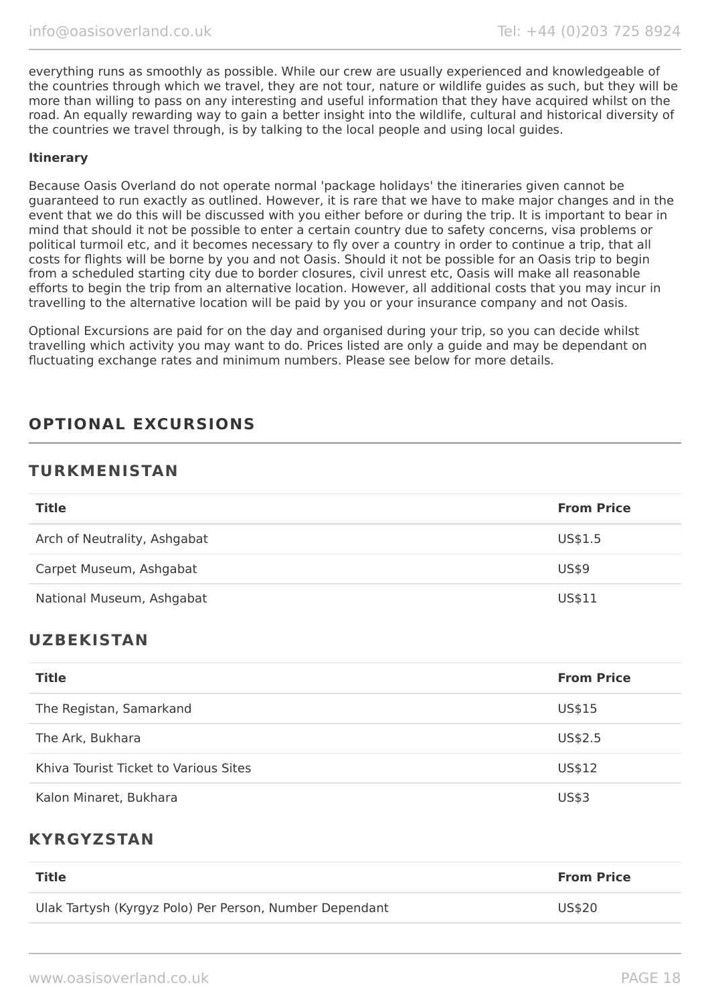everything runs as smoothly as possible. While our crew are usually experienced and knowledgeable of the countries through which we travel, they are not tour, nature or wildlife guides as such, but they will be more than willing to pass on any interesting and useful information that they have acquired whilst on the road. An equally rewarding way to gain a better insight into the wildlife, cultural and historical diversity of the countries we travel through, is by talking to the local people and using local guides.

#### **Itinerary**

Because Oasis Overland do not operate normal 'package holidays' the itineraries given cannot be guaranteed to run exactly as outlined. However, it is rare that we have to make major changes and in the event that we do this will be discussed with you either before or during the trip. It is important to bear in mind that should it not be possible to enter a certain country due to safety concerns, visa problems or political turmoil etc, and it becomes necessary to fly over a country in order to continue a trip, that all costs for flights will be borne by you and not Oasis. Should it not be possible for an Oasis trip to begin from a scheduled starting city due to border closures, civil unrest etc, Oasis will make all reasonable efforts to begin the trip from an alternative location. However, all additional costs that you may incur in travelling to the alternative location will be paid by you or your insurance company and not Oasis.

Optional Excursions are paid for on the day and organised during your trip, so you can decide whilst travelling which activity you may want to do. Prices listed are only a guide and may be dependant on fluctuating exchange rates and minimum numbers. Please see below for more details.

## **OPTIONAL EXCURSIONS**

### **TURKMENISTAN**

| <b>Title</b>                 | <b>From Price</b> |
|------------------------------|-------------------|
| Arch of Neutrality, Ashgabat | US\$1.5           |
| Carpet Museum, Ashgabat      | <b>US\$9</b>      |
| National Museum, Ashgabat    | US\$11            |

### **UZBEKISTAN**

| <b>Title</b>                          | <b>From Price</b> |
|---------------------------------------|-------------------|
| The Registan, Samarkand               | US\$15            |
| The Ark, Bukhara                      | US\$2.5           |
| Khiva Tourist Ticket to Various Sites | US\$12            |
| Kalon Minaret, Bukhara                | US\$3             |

### **KYRGYZSTAN**

| <b>Title</b>                                            | <b>From Price</b> |
|---------------------------------------------------------|-------------------|
| Ulak Tartysh (Kyrgyz Polo) Per Person, Number Dependant | US\$20            |